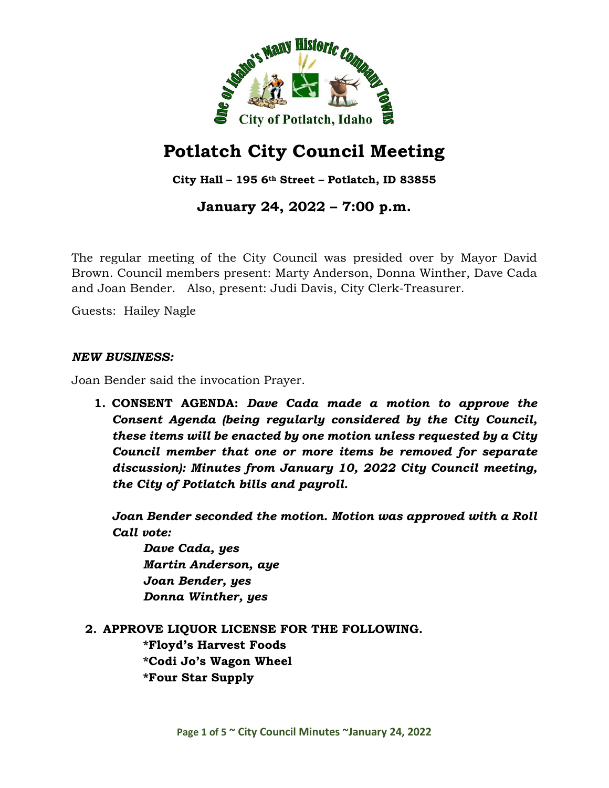

# **Potlatch City Council Meeting**

**City Hall – 195 6th Street – Potlatch, ID 83855**

## **January 24, 2022 – 7:00 p.m.**

The regular meeting of the City Council was presided over by Mayor David Brown. Council members present: Marty Anderson, Donna Winther, Dave Cada and Joan Bender. Also, present: Judi Davis, City Clerk-Treasurer.

Guests: Hailey Nagle

#### *NEW BUSINESS:*

Joan Bender said the invocation Prayer.

**1. CONSENT AGENDA:** *Dave Cada made a motion to approve the Consent Agenda (being regularly considered by the City Council, these items will be enacted by one motion unless requested by a City Council member that one or more items be removed for separate discussion): Minutes from January 10, 2022 City Council meeting, the City of Potlatch bills and payroll.*

*Joan Bender seconded the motion. Motion was approved with a Roll Call vote:*

*Dave Cada, yes Martin Anderson, aye Joan Bender, yes Donna Winther, yes*

**2. APPROVE LIQUOR LICENSE FOR THE FOLLOWING.**

**\*Floyd's Harvest Foods \*Codi Jo's Wagon Wheel \*Four Star Supply**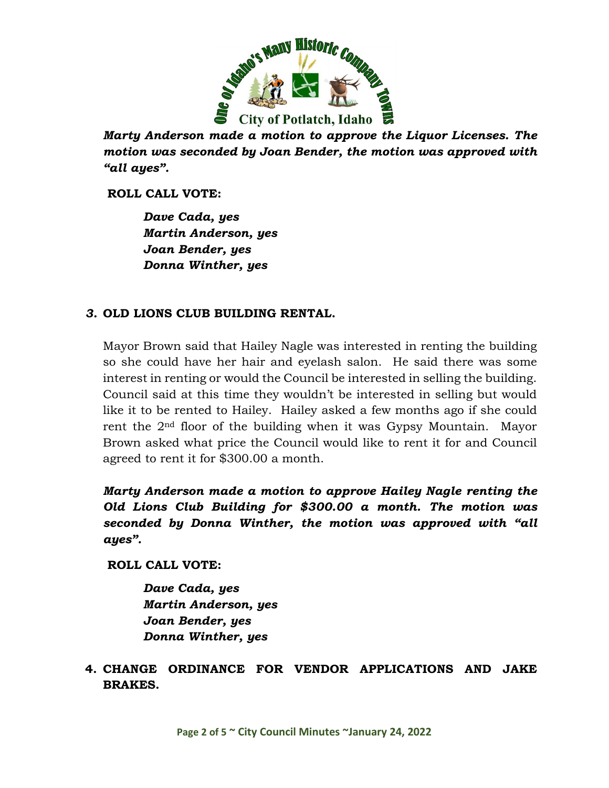

*Marty Anderson made a motion to approve the Liquor Licenses. The motion was seconded by Joan Bender, the motion was approved with "all ayes".*

**ROLL CALL VOTE:**

*Dave Cada, yes Martin Anderson, yes Joan Bender, yes Donna Winther, yes*

## *3.* **OLD LIONS CLUB BUILDING RENTAL.**

Mayor Brown said that Hailey Nagle was interested in renting the building so she could have her hair and eyelash salon. He said there was some interest in renting or would the Council be interested in selling the building. Council said at this time they wouldn't be interested in selling but would like it to be rented to Hailey. Hailey asked a few months ago if she could rent the 2nd floor of the building when it was Gypsy Mountain. Mayor Brown asked what price the Council would like to rent it for and Council agreed to rent it for \$300.00 a month.

*Marty Anderson made a motion to approve Hailey Nagle renting the Old Lions Club Building for \$300.00 a month. The motion was seconded by Donna Winther, the motion was approved with "all ayes".*

**ROLL CALL VOTE:**

*Dave Cada, yes Martin Anderson, yes Joan Bender, yes Donna Winther, yes*

**4. CHANGE ORDINANCE FOR VENDOR APPLICATIONS AND JAKE BRAKES.**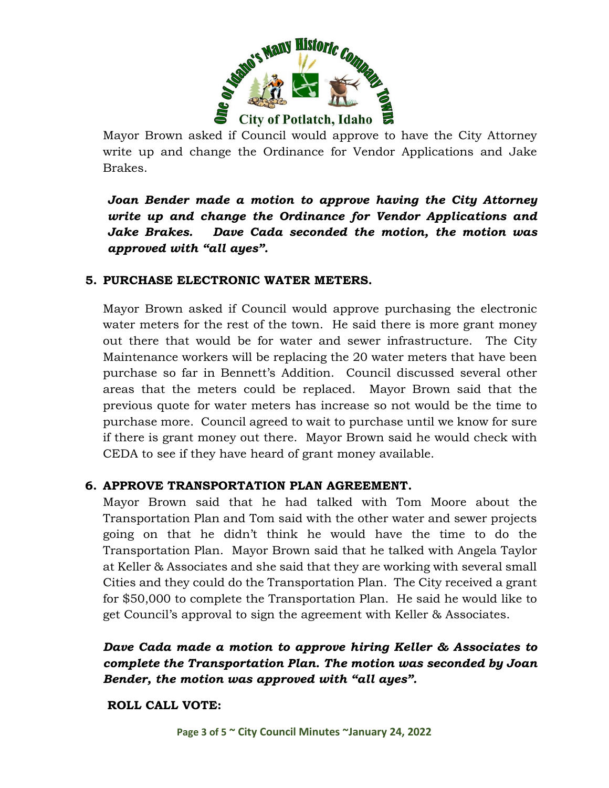

Mayor Brown asked if Council would approve to have the City Attorney write up and change the Ordinance for Vendor Applications and Jake Brakes.

*Joan Bender made a motion to approve having the City Attorney write up and change the Ordinance for Vendor Applications and Jake Brakes. Dave Cada seconded the motion, the motion was approved with "all ayes".*

#### **5. PURCHASE ELECTRONIC WATER METERS.**

Mayor Brown asked if Council would approve purchasing the electronic water meters for the rest of the town. He said there is more grant money out there that would be for water and sewer infrastructure. The City Maintenance workers will be replacing the 20 water meters that have been purchase so far in Bennett's Addition. Council discussed several other areas that the meters could be replaced. Mayor Brown said that the previous quote for water meters has increase so not would be the time to purchase more. Council agreed to wait to purchase until we know for sure if there is grant money out there. Mayor Brown said he would check with CEDA to see if they have heard of grant money available.

#### **6. APPROVE TRANSPORTATION PLAN AGREEMENT.**

Mayor Brown said that he had talked with Tom Moore about the Transportation Plan and Tom said with the other water and sewer projects going on that he didn't think he would have the time to do the Transportation Plan. Mayor Brown said that he talked with Angela Taylor at Keller & Associates and she said that they are working with several small Cities and they could do the Transportation Plan. The City received a grant for \$50,000 to complete the Transportation Plan. He said he would like to get Council's approval to sign the agreement with Keller & Associates.

*Dave Cada made a motion to approve hiring Keller & Associates to complete the Transportation Plan. The motion was seconded by Joan Bender, the motion was approved with "all ayes".*

**ROLL CALL VOTE:**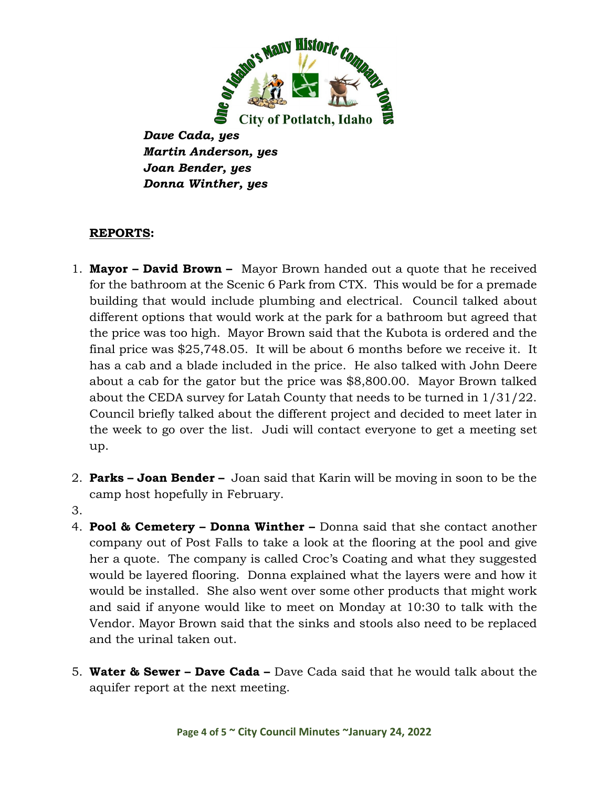

*Dave Cada, yes Martin Anderson, yes Joan Bender, yes Donna Winther, yes*

## **REPORTS:**

- 1. **Mayor – David Brown** Mayor Brown handed out a quote that he received for the bathroom at the Scenic 6 Park from CTX. This would be for a premade building that would include plumbing and electrical. Council talked about different options that would work at the park for a bathroom but agreed that the price was too high. Mayor Brown said that the Kubota is ordered and the final price was \$25,748.05. It will be about 6 months before we receive it. It has a cab and a blade included in the price. He also talked with John Deere about a cab for the gator but the price was \$8,800.00. Mayor Brown talked about the CEDA survey for Latah County that needs to be turned in 1/31/22. Council briefly talked about the different project and decided to meet later in the week to go over the list. Judi will contact everyone to get a meeting set up.
- 2. **Parks – Joan Bender –** Joan said that Karin will be moving in soon to be the camp host hopefully in February.
- 3.
- 4. **Pool & Cemetery – Donna Winther –** Donna said that she contact another company out of Post Falls to take a look at the flooring at the pool and give her a quote. The company is called Croc's Coating and what they suggested would be layered flooring. Donna explained what the layers were and how it would be installed. She also went over some other products that might work and said if anyone would like to meet on Monday at 10:30 to talk with the Vendor. Mayor Brown said that the sinks and stools also need to be replaced and the urinal taken out.
- 5. **Water & Sewer – Dave Cada –** Dave Cada said that he would talk about the aquifer report at the next meeting.